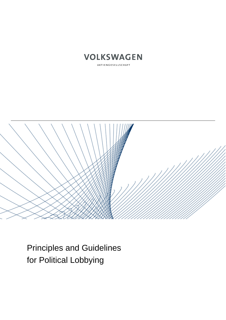

AKTIENGESELLSCHAFT



Principles and Guidelines for Political Lobbying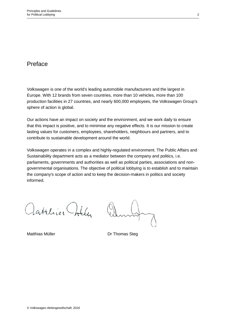# Preface

Volkswagen is one of the world's leading automobile manufacturers and the largest in Europe. With 12 brands from seven countries, more than 10 vehicles, more than 100 production facilities in 27 countries, and nearly 600,000 employees, the Volkswagen Group's sphere of action is global.

Our actions have an impact on society and the environment, and we work daily to ensure that this impact is positive, and to minimise any negative effects. It is our mission to create lasting values for customers, employees, shareholders, neighbours and partners, and to contribute to sustainable development around the world.

Volkswagen operates in a complex and highly-regulated environment. The Public Affairs and Sustainability department acts as a mediator between the company and politics, i.e. parliaments, governments and authorities as well as political parties, associations and nongovernmental organisations. The objective of political lobbying is to establish and to maintain the company's scope of action and to keep the decision-makers in politics and society informed.

Lattlics Jolle

Matthias Müller **Dr Thomas Steg**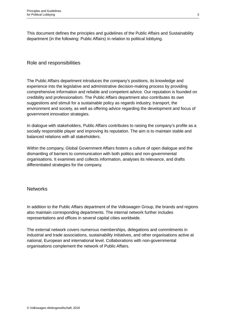This document defines the principles and guidelines of the Public Affairs and Sustainability department (in the following: Public Affairs) in relation to political lobbying.

#### Role and responsibilities

The Public Affairs department introduces the company's positions, its knowledge and experience into the legislative and administrative decision-making process by providing comprehensive information and reliable and competent advice. Our reputation is founded on credibility and professionalism. The Public Affairs department also contributes its own suggestions and stimuli for a sustainable policy as regards industry, transport, the environment and society, as well as offering advice regarding the development and focus of government innovation strategies.

In dialogue with stakeholders, Public Affairs contributes to raising the company's profile as a socially responsible player and improving its reputation. The aim is to maintain stable and balanced relations with all stakeholders.

Within the company, Global Government Affairs fosters a culture of open dialogue and the dismantling of barriers to communication with both politics and non-governmental organisations. It examines and collects information, analyses its relevance, and drafts differentiated strategies for the company.

#### **Networks**

In addition to the Public Affairs department of the Volkswagen Group, the brands and regions also maintain corresponding departments. The internal network further includes representations and offices in several capital cities worldwide.

The external network covers numerous memberships, delegations and commitments in industrial and trade associations, sustainability initiatives, and other organisations active at national, European and international level. Collaborations with non-governmental organisations complement the network of Public Affairs.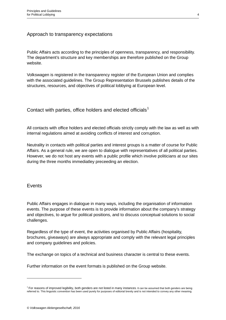### Approach to transparency expectations

Public Affairs acts according to the principles of openness, transparency, and responsibility. The department's structure and key memberships are therefore published on the Group website.

Volkswagen is registered in the transparency register of the European Union and complies with the associated guidelines. The Group Representation Brussels publishes details of the structures, resources, and objectives of political lobbying at European level.

Contact with parties, office holders and elected officials<sup>[1](#page-3-0)</sup>

All contacts with office holders and elected officials strictly comply with the law as well as with internal regulations aimed at avoiding conflicts of interest and corruption.

Neutrality in contacts with political parties and interest groups is a matter of course for Public Affairs. As a general rule, we are open to dialogue with representatives of all political parties. However, we do not host any events with a public profile which involve politicians at our sites during the three months immediatley preceeding an election.

#### Events

-

Public Affairs engages in dialogue in many ways, including the organisation of information events. The purpose of these events is to provide information about the company's strategy and objectives, to argue for political positions, and to discuss conceptual solutions to social challenges.

Regardless of the type of event, the activities organised by Public Affairs (hospitality, brochures, giveaways) are always appropriate and comply with the relevant legal principles and company guidelines and policies.

The exchange on topics of a technical and business character is central to these events.

Further information on the event formats is published on the Group website.

<span id="page-3-0"></span> $1$  For reasons of improved legibility, both genders are not listed in many instances. It can be assumed that both genders are being referred to. This linguistic convention has been used purely for purposes of editorial brevity and is not intended to convey any other meaning.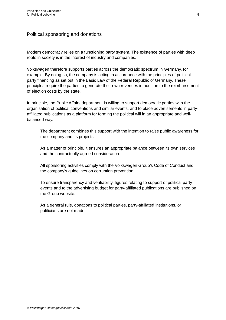### Political sponsoring and donations

Modern democracy relies on a functioning party system. The existence of parties with deep roots in society is in the interest of industry and companies.

Volkswagen therefore supports parties across the democratic spectrum in Germany, for example. By doing so, the company is acting in accordance with the principles of political party financing as set out in the Basic Law of the Federal Republic of Germany. These principles require the parties to generate their own revenues in addition to the reimbursement of election costs by the state.

In principle, the Public Affairs department is willing to support democratic parties with the organisation of political conventions and similar events, and to place advertisements in partyaffiliated publications as a platform for forming the political will in an appropriate and wellbalanced way.

The department combines this support with the intention to raise public awareness for the company and its projects.

As a matter of principle, it ensures an appropriate balance between its own services and the contractually agreed consideration.

All sponsoring activities comply with the Volkswagen Group's Code of Conduct and the company's guidelines on corruption prevention.

To ensure transparency and verifiability, figures relating to support of political party events and to the advertising budget for party-affiliated publications are published on the Group website.

As a general rule, donations to political parties, party-affiliated institutions, or politicians are not made.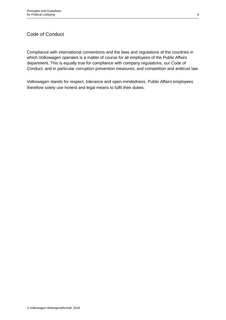## Code of Conduct

Compliance with international conventions and the laws and regulations of the countries in which Volkswagen operates is a matter of course for all employees of the Public Affairs department. This is equally true for compliance with company regulations, our Code of Conduct, and in particular corruption prevention measures, and competition and antitrust law.

Volkswagen stands for respect, tolerance and open-mindedness. Public Affairs employees therefore solely use honest and legal means to fulfil their duties.